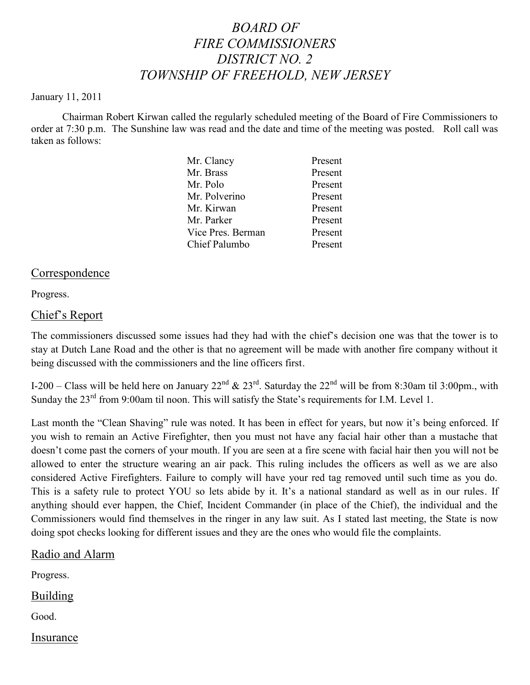# *BOARD OF FIRE COMMISSIONERS DISTRICT NO. 2 TOWNSHIP OF FREEHOLD, NEW JERSEY*

#### January 11, 2011

Chairman Robert Kirwan called the regularly scheduled meeting of the Board of Fire Commissioners to order at 7:30 p.m. The Sunshine law was read and the date and time of the meeting was posted. Roll call was taken as follows:

| Mr. Clancy        | Present |
|-------------------|---------|
| Mr. Brass         | Present |
| Mr. Polo          | Present |
| Mr. Polverino     | Present |
| Mr. Kirwan        | Present |
| Mr. Parker        | Present |
| Vice Pres. Berman | Present |
| Chief Palumbo     | Present |
|                   |         |

### Correspondence

Progress.

### Chief's Report

The commissioners discussed some issues had they had with the chief's decision one was that the tower is to stay at Dutch Lane Road and the other is that no agreement will be made with another fire company without it being discussed with the commissioners and the line officers first.

I-200 – Class will be held here on January 22nd & 23rd. Saturday the 22nd will be from 8:30am til 3:00pm., with Sunday the 23<sup>rd</sup> from 9:00am til noon. This will satisfy the State's requirements for I.M. Level 1.

Last month the "Clean Shaving" rule was noted. It has been in effect for years, but now it's being enforced. If you wish to remain an Active Firefighter, then you must not have any facial hair other than a mustache that doesn't come past the corners of your mouth. If you are seen at a fire scene with facial hair then you will not be allowed to enter the structure wearing an air pack. This ruling includes the officers as well as we are also considered Active Firefighters. Failure to comply will have your red tag removed until such time as you do. This is a safety rule to protect YOU so lets abide by it. It's a national standard as well as in our rules. If anything should ever happen, the Chief, Incident Commander (in place of the Chief), the individual and the Commissioners would find themselves in the ringer in any law suit. As I stated last meeting, the State is now doing spot checks looking for different issues and they are the ones who would file the complaints.

#### Radio and Alarm

Progress.

**Building** 

Good.

Insurance